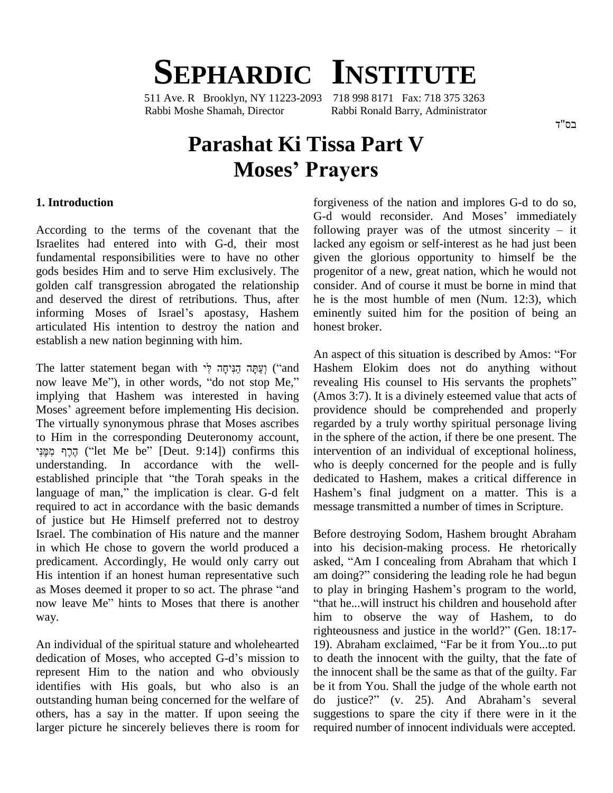## **SEPHARDIC INSTITUTE**

511 Ave. R Brooklyn, NY 11223-2093 718 998 8171 Fax: 718 375 3263 Rabbi Moshe Shamah, Director Rabbi Ronald Barry, Administrator

## **Parashat Ki Tissa Part V Ah, Director**<br> **Shat Ki Tissa Part V**<br> **Moses' Prayers**

## **1. Introduction**

According to the terms of the covenant that the Israelites had entered into with G-d, their most fundamental responsibilities were to have no other gods besides Him and to serve Him exclusively. The golden calf transgression abrogated the relationship consider. A<br>and deserved the direst of retributions. Thus, after he is the r<br>informing Moses of Israel's apostasy, Hashem eminently and deserved the direst of retributions. Thus, after articulated His intention to destroy the nation and establish a new nation beginning with him. establish a new nation beginning with him.<br>The latter statement began with יְעֲתָּה הַנִּיחָה לִי and Hashe

n as<br>(and Hash) יִצַּתָּה הַנִּיחָה לִי and Hash) וְצַתְּה הַנִּיחָה לִי (and Hash)<br>now leave Me''), in other words, ''do not stop Me,'' revea implying that Hashem was interested in having now leave Me"), in other words, "do not stop Me," reimplying that Hashem was interested in having (*A* Moses' agreement before implementing His decision. The virtually synonymous phrase that Moses ascribes regate to Him in the corresponding Deuteronomy account, in the to Him in the corresponding Deuteronomy account,<br>הֵרֵף מִמְּנִי (''let Me be'' [Deut. 9:14]) confirms this understanding. In accordance with the well- הֶרֶף מִמֶּנִי ("let Me be" [Deut. 9:14]) confirms this intervent understanding. In accordance with the well-<br>established principle that "the Torah speaks in the dedic understanding. In accordance with the well-<br>established principle that "the Torah speaks in the de<br>language of man," the implication is clear. G-d felt required to act in accordance with the basic demands of justice but He Himself preferred not to destroy Israel. The combination of His nature and the manner in which He chose to govern the world produced a predicament. Accordingly, He would only carry out asked,<br>His intention if an honest human representative such am do<br>as Moses deemed it proper to so act. The phrase "and to pla His intention if an honest human representative such am doing?" considering the leading role he had begun as Moses deemed it proper to so act. The phrase "and to play in bringing Hashem's program to the world, now leave Me" hints to Moses that there is another "that he...will instruct his children and household after way.

An individual of the spiritual stature and wholehearted dedication of Moses, who accepted G-d's mission to represent Him to the nation and who obviously identifies with His goals, but who also is an outstanding human being concerned for the welfare of do justice?" (v. 25). And Abraham's several others, has a say in the matter. If upon seeing the larger picture he sincerely believes there is room for

forgiveness of the nation and implores G-d to do so, G-d would reconsider. And Moses' immediately following prayer was of the utmost sincerity  $-$  it lacked any egoism or self-interest as he had just been given the glorious opportunity to himself be the progenitor of a new, great nation, which he would not consider. And of course it must be borne in mind that he is the most humble of men (Num. 12:3), which eminently suited him for the position of being an honest broker.

An aspect of this situation is described by Amos: "For Hashem Elokim does not do anything without An aspect of this situation is described by Amos: "For<br>Hashem Elokim does not do anything without<br>revealing His counsel to His servants the prophets" (Amos 3:7). It is a divinely esteemed value that acts of providence should be comprehended and properly regarded by a truly worthy spiritual personage living in the sphere of the action, if there be one present. The intervention of an individual of exceptional holiness, who is deeply concerned for the people and is fully Hashemí<sup>s</sup> final judgment on <sup>a</sup> matter. This is <sup>a</sup> dedicated to Hashem, makes a critical difference in message transmitted a number of times in Scripture.

Before destroying Sodom, Hashem brought Abraham into his decision-making process. He rhetorically Before destroying Sodom, Hashem brought Abraham<br>into his decision-making process. He rhetorically<br>asked, "Am I concealing from Abraham that which I into his decision-making process. He rhetorically asked, "Am I concealing from Abraham that which I am doing?" considering the leading role he had begun asked, "Am I concealing from Abraham that which I<br>am doing?" considering the leading role he had begun<br>to play in bringing Hashem's program to the world, "that he...will instruct his children and household after him to observe the way of Hashem, to do righteousness and justice in the world?" (Gen. 18:17-19). Abraham exclaimed, "Far be it from You...to put to death the innocent with the guilty, that the fate of the innocent shall be the same as that of the guilty. Far<br>be it from You. Shall the judge of the whole earth not<br>do justice?" (v. 25). And Abraham's several be it from You. Shall the judge of the whole earth not suggestions to spare the city if there were in it the required number of innocent individuals were accepted.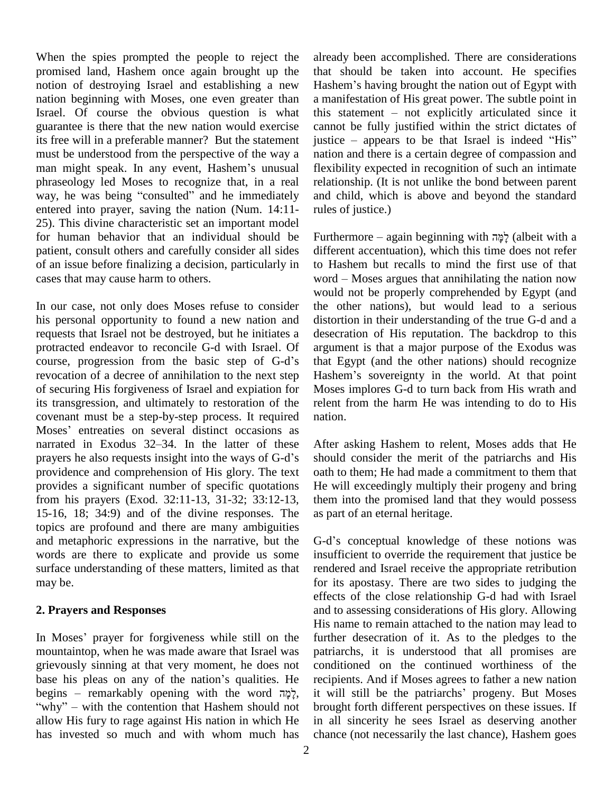When the spies prompted the people to reject the promised land, Hashem once again brought up the notion of destroying Israel and establishing a new Hashem's having brought the nation out of Egypt with nation beginning with Moses, one even greater than Israel. Of course the obvious question is what guarantee is there that the new nation would exercise its free will in a preferable manner? But the statement jums be understood from the perspective of the way a naman might speak. In any event, Hashem's unusual fle must be understood from the perspective of the way a phraseology led Moses to recognize that, in a real man might speak. In any event, Hashem's unusual phraseology led Moses to recognize that, in a real way, he was being "consulted" and he immediately entered into prayer, saving the nation (Num. 14:11- 25). This divine characteristic set an important model for human behavior that an individual should be patient, consult others and carefully consider all sides of an issue before finalizing a decision, particularly in cases that may cause harm to others.

In our case, not only does Moses refuse to consider his personal opportunity to found a new nation and requests that Israel not be destroyed, but he initiates a desection<br>protracted endeavor to reconcile G-d with Israel. Of argun<br>course, progression from the basic step of G-d's that protracted endeavor to reconcile G-d with Israel. Of revocation of a decree of annihilation to the next step Hashem's sovereignty in the world. At that point of securing His forgiveness of Israel and expiation for its transgression, and ultimately to restoration of the covenant must be a step-by-step process. It required its transgression, and ultimately to restoration of the relevant must be a step-by-step process. It required nationally modes' entreaties on several distinct occasions as covenant must be a step-by-step process. It required natio<br>Moses' entreaties on several distinct occasions as<br>narrated in Exodus 32–34. In the latter of these After Moses' entreaties on several distinct occasions as<br>narrated in Exodus 32–34. In the latter of these Afte<br>prayers he also requests insight into the ways of G-d's shou providence and comprehension of His glory. The text provides a significant number of specific quotations from his prayers (Exod. 32:11-13, 31-32; 33:12-13, 15-16, 18; 34:9) and of the divine responses. The topics are profound and there are many ambiguities and metaphoric expressions in the narrative, but the words are there to explicate and provide us some surface understanding of these matters, limited as that may be.

## **2. Prayers and Responses**

In Moses' prayer for forgiveness while still on the mountaintop, when he was made aware that Israel was grievously sinning at that very moment, he does not mountaintop, when he was made aware that Israel was<br>grievously sinning at that very moment, he does not condi<br>base his pleas on any of the nation's qualities. He recip grievously sinning at that very moment, he does not<br>base his pleas on any of the nation's qualities. He re<br>begins – remarkably opening with the word  $\frac{1}{2}$ ; it ase his pleas on any of the nation's qualities. He ree egins – remarkably opening with the word  $\frac{1}{2}$ , it why" – with the contention that Hashem should not br allow His fury to rage against His nation in which He has invested so much and with whom much has

already been accomplished. There are considerations Hashemí<sup>s</sup> having brought the nation out of Egypt with that should be taken into account. He specifies a manifestation of His great power. The subtle point in Hashem's having brought the nation out of Egypt with<br>a manifestation of His great power. The subtle point in<br>this statement – not explicitly articulated since it cannot be fully justified within the strict dictates of this statement – not explicitly articulated since it cannot be fully justified within the strict dictates of justice – appears to be that Israel is indeed "His" nation and there is a certain degree of compassion and flexibility expected in recognition of such an intimate relationship. (It is not unlike the bond between parent and child, which is above and beyond the standard rules of justice.)

Furthermore – again beginning with למה (albeit with a different accentuation), which this time does not refer<br>to Hashem but recalls to mind the first use of that<br>word – Moses argues that annihilating the nation now to Hashem but recalls to mind the first use of that would not be properly comprehended by Egypt (and the other nations), but would lead to a serious distortion in their understanding of the true G-d and a desecration of His reputation. The backdrop to this argument is that a major purpose of the Exodus was that Egypt (and the other nations) should recognize argument is that a major purpose of the Exodus was<br>that Egypt (and the other nations) should recognize<br>Hashem's sovereignty in the world. At that point Moses implores G-d to turn back from His wrath and relent from the harm He was intending to do to His nation.

After asking Hashem to relent, Moses adds that He should consider the merit of the patriarchs and His oath to them; He had made a commitment to them that He will exceedingly multiply their progeny and bring them into the promised land that they would possess as part of an eternal heritage.

G-d's conceptual knowledge of these notions was insufficient to override the requirement that justice be rendered and Israel receive the appropriate retribution for its apostasy. There are two sides to judging the effects of the close relationship G-d had with Israel and to assessing considerations of His glory. Allowing His name to remain attached to the nation may lead to further desecration of it. As to the pledges to the patriarchs, it is understood that all promises are conditioned on the continued worthiness of the recipients. And if Moses agrees to father a new nation it will still be the patriarchs' progeny. But Moses brought forth different perspectives on these issues. If in all sincerity he sees Israel as deserving another chance (not necessarily the last chance), Hashem goes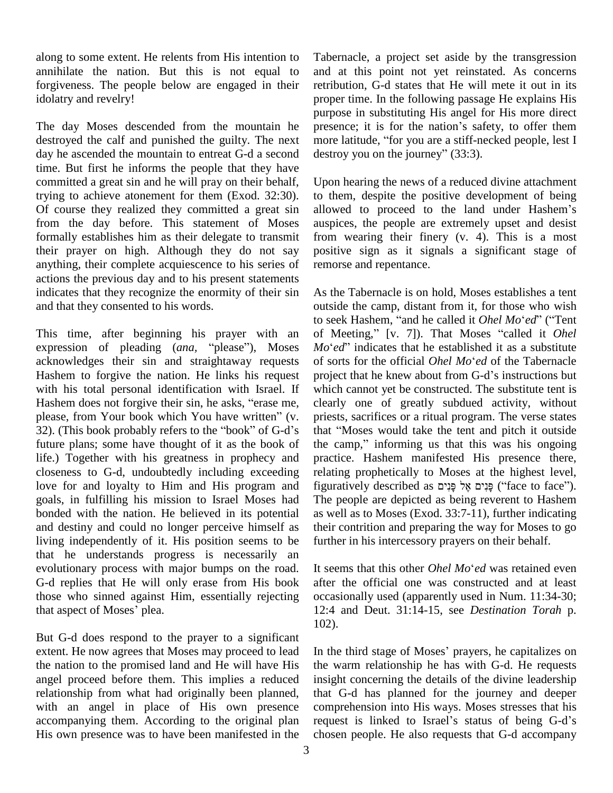along to some extent. He relents from His intention to annihilate the nation. But this is not equal to forgiveness. The people below are engaged in their idolatry and revelry!

The day Moses descended from the mountain he presence; it is for the nation's safety, to offer them destroyed the calf and punished the guilty. The next more latitude, "for you are a stiff-necked people, lest I day he ascended the mountain to entreat G-d a second time. But first he informs the people that they have committed a great sin and he will pray on their behalf, trying to achieve atonement for them (Exod. 32:30). Of course they realized they committed a great sin from the day before. This statement of Moses formally establishes him as their delegate to transmit their prayer on high. Although they do not say anything, their complete acquiescence to his series of actions the previous day and to his present statements indicates that they recognize the enormity of their sin and that they consented to his words.

This time, after beginning his prayer with an of Mo to se<br>This time, after beginning his prayer with an of l<br>expression of pleading (*ana*, "please"), Moses Mo' acknowledges their sin and straightaway requests of sorts for the official Ohel Mo'ed of the Tabernacle Hashem to forgive the nation. He links his request pr<br>with his total personal identification with Israel. If which<br>Hashem does not forgive their sin, he asks, "erase me, cle with his total personal identification with Israel. If Hashem does not forgive their sin, he asks, "erase me, clearly one of greatly subdued activity, without please, from Your book which You have written" (v. priests, sacrifices or a ritual program. The verse states 32). (Thi future plans; some have thought of it as the book of life.) Together with his greatness in prophecy and closeness to G-d, undoubtedly including exceeding love for and loyalty to Him and His program and goals, in fulfilling his mission to Israel Moses had bonded with the nation. He believed in its potential and destiny and could no longer perceive himself as living independently of it. His position seems to be that he understands progress is necessarily an evolutionary process with major bumps on the road. It seems that this other *Ohel Mo'ed* was retained even G-d replies that He will only erase from His book those who sinned against Him, essentially rejecting G-d replies that He will only<br>those who sinned against Hir<br>that aspect of Moses' plea.

But G-d does respond to the prayer to a significant extent. He now agrees that Moses may proceed to lead the nation to the promised land and He will have His angel proceed before them. This implies a reduced relationship from what had originally been planned, with an angel in place of His own presence accompanying them. According to the original plan request is linked to Israel's status of being G-d's His own presence was to have been manifested in the

Tabernacle, a project set aside by the transgression and at this point not yet reinstated. As concerns retribution, G-d states that He will mete it out in its proper time. In the following passage He explains His purpose in substituting His angel for His more direct proper time. In the following passage He explains His<br>purpose in substituting His angel for His more direct<br>presence; it is for the nation's safety, to offer them purpose in substituting His angel for His more direct<br>presence; it is for the nation's safety, to offer them<br>more latitude, "for you are a stiff-necked people, lest I destroy you on the journey"  $(33:3)$ .

Upon hearing the news of a reduced divine attachment to them, despite the positive development of being allowed to proceed to the land under Hashem's auspices, the people are extremely upset and desist from wearing their finery (v. 4). This is a most positive sign as it signals a significant stage of remorse and repentance.

As the Tabernacle is on hold, Moses establishes a tent outside the camp, distant from it, for those who wish to seek Hashem, "and he called it *Ohel Mo'ed*" ("Tent outside the camp, distant from it, for those who wish outside the camp, distant from it, for those who wish<br>to seek Hashem, "and he called it *Ohel Mo'ed*" ("Tent<br>of Meeting," [v. 7]). That Moses "called it *Ohel* to seek Hashem, "and he called it *Ohel Mo'ed*" ("Tent<br>of Meeting," [v. 7]). That Moses "called it *Ohel*<br>*Mo'ed*" indicates that he established it as a substitute of Meeting," [v. 7]). That Moses "called it *Ohel Mo'ed*" indicates that he established it as a substitute of sorts for the official *Ohel Mo'ed* of the Tabernacle  $Mo^{\prime}ed^{\prime\prime}$  indicates that he established it as a substitute of sorts for the official *Ohel Mo'ed* of the Tabernacle project that he knew about from G-d's instructions but which cannot yet be constructed. The substitute tent is clearly one of greatly subdued activity, without priests, sacrifices or a ritual program. The verse states that "Moses would take the tent and pitch it outside priests, sacrifices or a ritual program. The verse states the camp," informing us that this was his ongoing practice. Hashem manifested His presence there, relating prophetically to Moses at the highest level, figuratively described as פֵּנִים אֱל פַּנִים ("face to face"). The people are depicted as being reverent to Hashem as well as to Moses (Exod. 33:7-11), further indicating their contrition and preparing the way for Moses to go further in his intercessory prayers on their behalf.<br>It seems that this other *Ohel Mo*<sup>6</sup> ed was retained even

after the official one was constructed and at least occasionally used (apparently used in Num. 11:34-30; 12:4 and Deut. 31:14-15, see *Destination Torah* p. 102).

In the third stage of Moses' prayers, he capitalizes on the warm relationship he has with G-d. He requests insight concerning the details of the divine leadership that G-d has planned for the journey and deeper comprehension into His ways. Moses stresses that his request is linked to Israel's status of being G-d's comprehension into His ways. Moses stresses that his chosen people. He also requests that G-d accompany